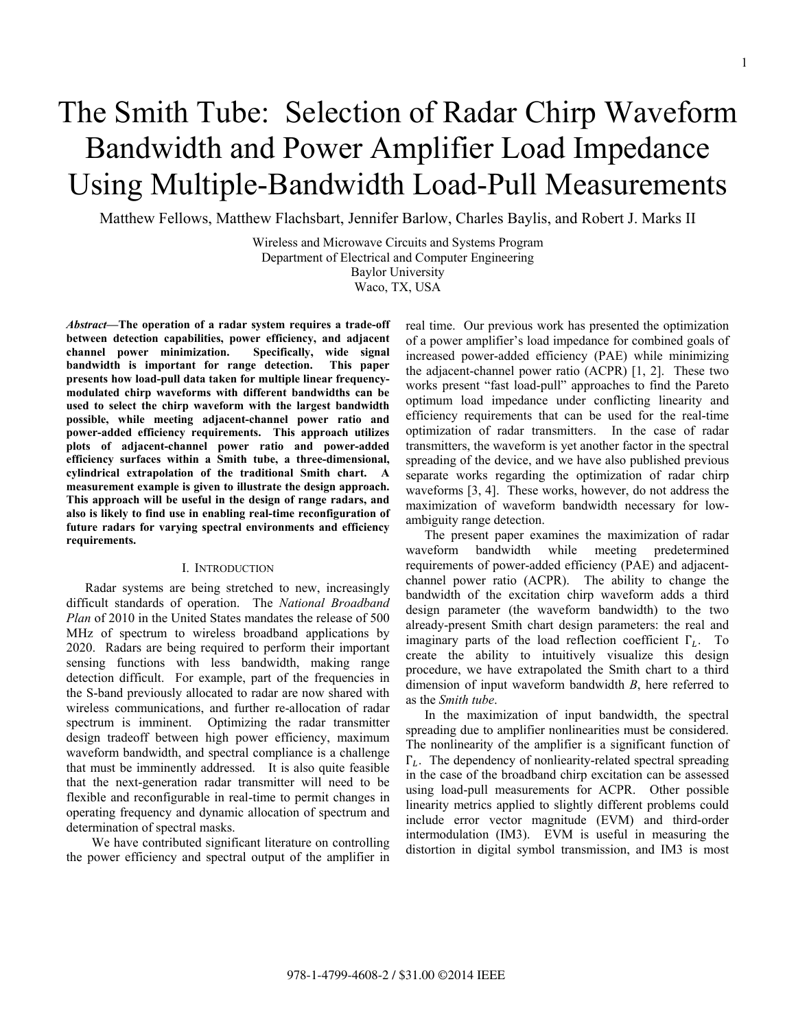# The Smith Tube: Selection of Radar Chirp Waveform Bandwidth and Power Amplifier Load Impedance Using Multiple-Bandwidth Load-Pull Measurements

Matthew Fellows, Matthew Flachsbart, Jennifer Barlow, Charles Baylis, and Robert J. Marks II

Wireless and Microwave Circuits and Systems Program Department of Electrical and Computer Engineering Baylor University Waco, TX, USA

*Abstract***—The operation of a radar system requires a trade-off between detection capabilities, power efficiency, and adjacent channel power minimization. Specifically, wide signal bandwidth is important for range detection. This paper presents how load-pull data taken for multiple linear frequencymodulated chirp waveforms with different bandwidths can be used to select the chirp waveform with the largest bandwidth possible, while meeting adjacent-channel power ratio and power-added efficiency requirements. This approach utilizes plots of adjacent-channel power ratio and power-added efficiency surfaces within a Smith tube, a three-dimensional, cylindrical extrapolation of the traditional Smith chart. A measurement example is given to illustrate the design approach. This approach will be useful in the design of range radars, and also is likely to find use in enabling real-time reconfiguration of future radars for varying spectral environments and efficiency requirements.** 

## I. INTRODUCTION

Radar systems are being stretched to new, increasingly difficult standards of operation. The *National Broadband Plan* of 2010 in the United States mandates the release of 500 MHz of spectrum to wireless broadband applications by 2020. Radars are being required to perform their important sensing functions with less bandwidth, making range detection difficult. For example, part of the frequencies in the S-band previously allocated to radar are now shared with wireless communications, and further re-allocation of radar spectrum is imminent. Optimizing the radar transmitter design tradeoff between high power efficiency, maximum waveform bandwidth, and spectral compliance is a challenge that must be imminently addressed. It is also quite feasible that the next-generation radar transmitter will need to be flexible and reconfigurable in real-time to permit changes in operating frequency and dynamic allocation of spectrum and determination of spectral masks.

 We have contributed significant literature on controlling the power efficiency and spectral output of the amplifier in real time. Our previous work has presented the optimization of a power amplifier's load impedance for combined goals of increased power-added efficiency (PAE) while minimizing the adjacent-channel power ratio (ACPR) [1, 2]. These two works present "fast load-pull" approaches to find the Pareto optimum load impedance under conflicting linearity and efficiency requirements that can be used for the real-time optimization of radar transmitters. In the case of radar transmitters, the waveform is yet another factor in the spectral spreading of the device, and we have also published previous separate works regarding the optimization of radar chirp waveforms [3, 4]. These works, however, do not address the maximization of waveform bandwidth necessary for lowambiguity range detection.

The present paper examines the maximization of radar waveform bandwidth while meeting predetermined requirements of power-added efficiency (PAE) and adjacentchannel power ratio (ACPR). The ability to change the bandwidth of the excitation chirp waveform adds a third design parameter (the waveform bandwidth) to the two already-present Smith chart design parameters: the real and imaginary parts of the load reflection coefficient  $\Gamma_L$ . To create the ability to intuitively visualize this design procedure, we have extrapolated the Smith chart to a third dimension of input waveform bandwidth *B*, here referred to as the *Smith tube*.

In the maximization of input bandwidth, the spectral spreading due to amplifier nonlinearities must be considered. The nonlinearity of the amplifier is a significant function of  $\Gamma_L$ . The dependency of nonliearity-related spectral spreading in the case of the broadband chirp excitation can be assessed using load-pull measurements for ACPR. Other possible linearity metrics applied to slightly different problems could include error vector magnitude (EVM) and third-order intermodulation (IM3). EVM is useful in measuring the distortion in digital symbol transmission, and IM3 is most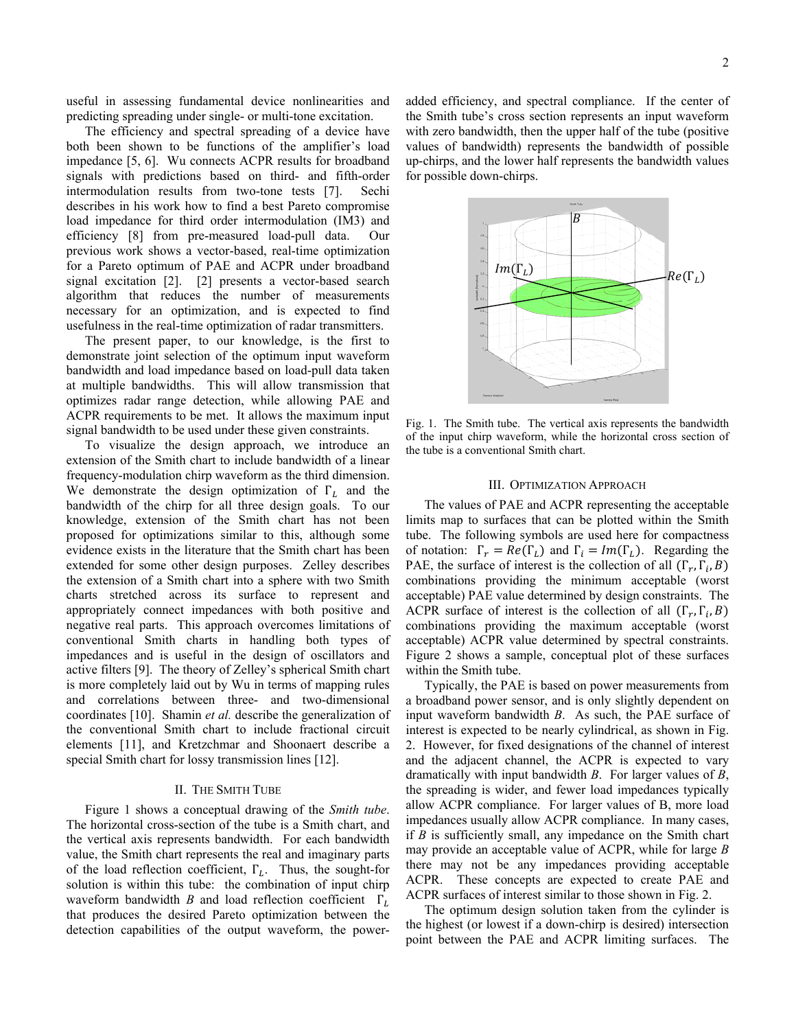useful in assessing fundamental device nonlinearities and predicting spreading under single- or multi-tone excitation.

The efficiency and spectral spreading of a device have both been shown to be functions of the amplifier's load impedance [5, 6]. Wu connects ACPR results for broadband signals with predictions based on third- and fifth-order intermodulation results from two-tone tests [7]. Sechi describes in his work how to find a best Pareto compromise load impedance for third order intermodulation (IM3) and efficiency [8] from pre-measured load-pull data. Our previous work shows a vector-based, real-time optimization for a Pareto optimum of PAE and ACPR under broadband signal excitation [2]. [2] presents a vector-based search algorithm that reduces the number of measurements necessary for an optimization, and is expected to find usefulness in the real-time optimization of radar transmitters.

The present paper, to our knowledge, is the first to demonstrate joint selection of the optimum input waveform bandwidth and load impedance based on load-pull data taken at multiple bandwidths. This will allow transmission that optimizes radar range detection, while allowing PAE and ACPR requirements to be met. It allows the maximum input signal bandwidth to be used under these given constraints.

To visualize the design approach, we introduce an extension of the Smith chart to include bandwidth of a linear frequency-modulation chirp waveform as the third dimension. We demonstrate the design optimization of  $\Gamma_L$  and the bandwidth of the chirp for all three design goals. To our knowledge, extension of the Smith chart has not been proposed for optimizations similar to this, although some evidence exists in the literature that the Smith chart has been extended for some other design purposes. Zelley describes the extension of a Smith chart into a sphere with two Smith charts stretched across its surface to represent and appropriately connect impedances with both positive and negative real parts. This approach overcomes limitations of conventional Smith charts in handling both types of impedances and is useful in the design of oscillators and active filters [9]. The theory of Zelley's spherical Smith chart is more completely laid out by Wu in terms of mapping rules and correlations between three- and two-dimensional coordinates [10]. Shamin *et al.* describe the generalization of the conventional Smith chart to include fractional circuit elements [11], and Kretzchmar and Shoonaert describe a special Smith chart for lossy transmission lines [12].

## II. THE SMITH TUBE

Figure 1 shows a conceptual drawing of the *Smith tube*. The horizontal cross-section of the tube is a Smith chart, and the vertical axis represents bandwidth. For each bandwidth value, the Smith chart represents the real and imaginary parts of the load reflection coefficient,  $\Gamma_L$ . Thus, the sought-for solution is within this tube: the combination of input chirp waveform bandwidth *B* and load reflection coefficient  $\Gamma_L$ that produces the desired Pareto optimization between the detection capabilities of the output waveform, the poweradded efficiency, and spectral compliance. If the center of the Smith tube's cross section represents an input waveform with zero bandwidth, then the upper half of the tube (positive values of bandwidth) represents the bandwidth of possible up-chirps, and the lower half represents the bandwidth values for possible down-chirps.



Fig. 1. The Smith tube. The vertical axis represents the bandwidth of the input chirp waveform, while the horizontal cross section of the tube is a conventional Smith chart.

#### III. OPTIMIZATION APPROACH

The values of PAE and ACPR representing the acceptable limits map to surfaces that can be plotted within the Smith tube. The following symbols are used here for compactness of notation:  $\Gamma_r = Re(\Gamma_L)$  and  $\Gamma_i = Im(\Gamma_L)$ . Regarding the PAE, the surface of interest is the collection of all  $(\Gamma_r, \Gamma_i, B)$ combinations providing the minimum acceptable (worst acceptable) PAE value determined by design constraints. The ACPR surface of interest is the collection of all  $(\Gamma_r, \Gamma_i, B)$ combinations providing the maximum acceptable (worst acceptable) ACPR value determined by spectral constraints. Figure 2 shows a sample, conceptual plot of these surfaces within the Smith tube.

Typically, the PAE is based on power measurements from a broadband power sensor, and is only slightly dependent on input waveform bandwidth *B*. As such, the PAE surface of interest is expected to be nearly cylindrical, as shown in Fig. 2. However, for fixed designations of the channel of interest and the adjacent channel, the ACPR is expected to vary dramatically with input bandwidth *B*. For larger values of *B*, the spreading is wider, and fewer load impedances typically allow ACPR compliance. For larger values of B, more load impedances usually allow ACPR compliance. In many cases, if *B* is sufficiently small, any impedance on the Smith chart may provide an acceptable value of ACPR, while for large *B* there may not be any impedances providing acceptable ACPR. These concepts are expected to create PAE and ACPR surfaces of interest similar to those shown in Fig. 2.

The optimum design solution taken from the cylinder is the highest (or lowest if a down-chirp is desired) intersection point between the PAE and ACPR limiting surfaces. The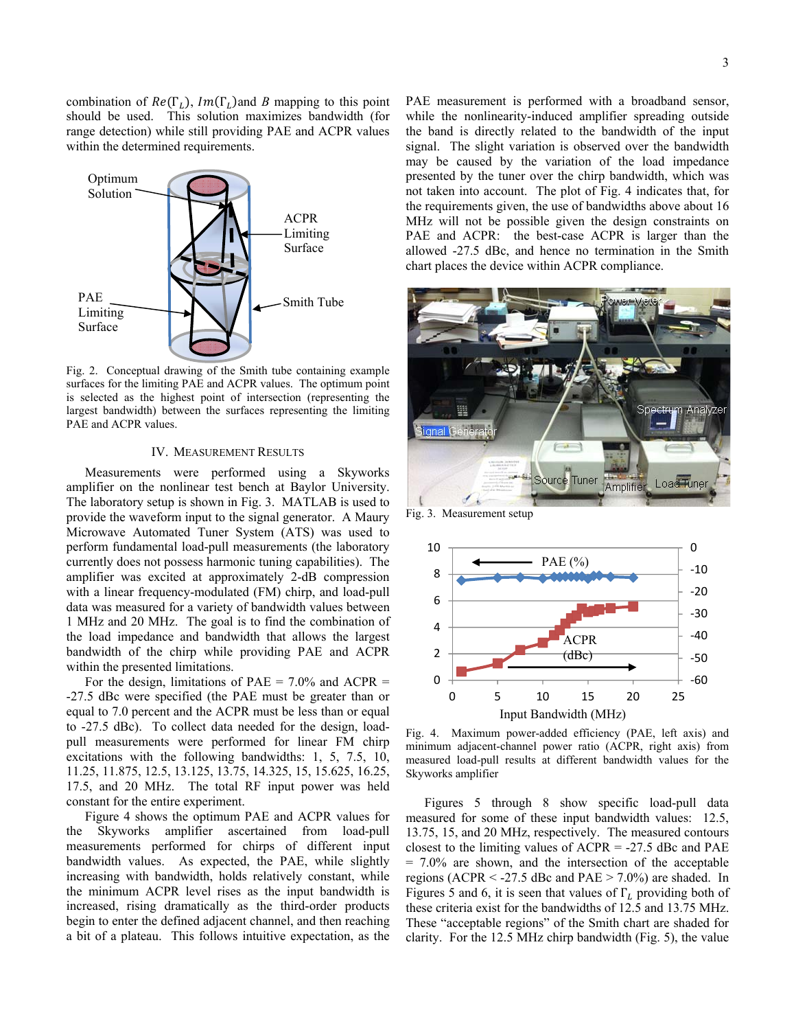combination of  $Re(\Gamma_l)$ ,  $Im(\Gamma_l)$  and *B* mapping to this point should be used. This solution maximizes bandwidth (for range detection) while still providing PAE and ACPR values within the determined requirements.



Fig. 2. Conceptual drawing of the Smith tube containing example surfaces for the limiting PAE and ACPR values. The optimum point is selected as the highest point of intersection (representing the largest bandwidth) between the surfaces representing the limiting PAE and ACPR values.

### IV. MEASUREMENT RESULTS

Measurements were performed using a Skyworks amplifier on the nonlinear test bench at Baylor University. The laboratory setup is shown in Fig. 3. MATLAB is used to provide the waveform input to the signal generator. A Maury Microwave Automated Tuner System (ATS) was used to perform fundamental load-pull measurements (the laboratory currently does not possess harmonic tuning capabilities). The amplifier was excited at approximately 2-dB compression with a linear frequency-modulated (FM) chirp, and load-pull data was measured for a variety of bandwidth values between 1 MHz and 20 MHz. The goal is to find the combination of the load impedance and bandwidth that allows the largest bandwidth of the chirp while providing PAE and ACPR within the presented limitations.

For the design, limitations of PAE =  $7.0\%$  and ACPR = -27.5 dBc were specified (the PAE must be greater than or equal to 7.0 percent and the ACPR must be less than or equal to -27.5 dBc). To collect data needed for the design, loadpull measurements were performed for linear FM chirp excitations with the following bandwidths: 1, 5, 7.5, 10, 11.25, 11.875, 12.5, 13.125, 13.75, 14.325, 15, 15.625, 16.25, 17.5, and 20 MHz. The total RF input power was held constant for the entire experiment.

Figure 4 shows the optimum PAE and ACPR values for the Skyworks amplifier ascertained from load-pull measurements performed for chirps of different input bandwidth values. As expected, the PAE, while slightly increasing with bandwidth, holds relatively constant, while the minimum ACPR level rises as the input bandwidth is increased, rising dramatically as the third-order products begin to enter the defined adjacent channel, and then reaching a bit of a plateau. This follows intuitive expectation, as the

PAE measurement is performed with a broadband sensor, while the nonlinearity-induced amplifier spreading outside the band is directly related to the bandwidth of the input signal. The slight variation is observed over the bandwidth may be caused by the variation of the load impedance presented by the tuner over the chirp bandwidth, which was not taken into account. The plot of Fig. 4 indicates that, for the requirements given, the use of bandwidths above about 16 MHz will not be possible given the design constraints on PAE and ACPR: the best-case ACPR is larger than the allowed -27.5 dBc, and hence no termination in the Smith chart places the device within ACPR compliance.



Fig. 3. Measurement setup



Fig. 4. Maximum power-added efficiency (PAE, left axis) and minimum adjacent-channel power ratio (ACPR, right axis) from measured load-pull results at different bandwidth values for the Skyworks amplifier

Figures 5 through 8 show specific load-pull data measured for some of these input bandwidth values: 12.5, 13.75, 15, and 20 MHz, respectively. The measured contours closest to the limiting values of  $ACPR = -27.5$  dBc and PAE = 7.0% are shown, and the intersection of the acceptable regions (ACPR  $\le$  -27.5 dBc and PAE  $>$  7.0%) are shaded. In Figures 5 and 6, it is seen that values of  $\Gamma$ <sub>L</sub> providing both of these criteria exist for the bandwidths of 12.5 and 13.75 MHz. These "acceptable regions" of the Smith chart are shaded for clarity. For the 12.5 MHz chirp bandwidth (Fig. 5), the value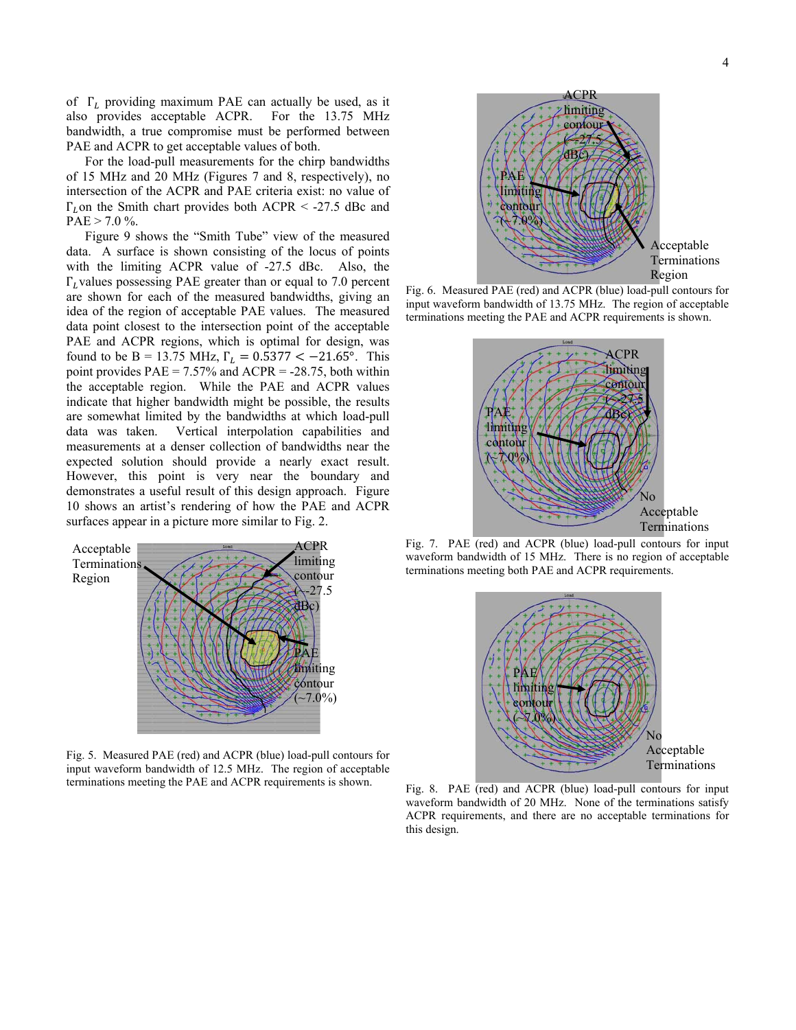of  $\Gamma_L$  providing maximum PAE can actually be used, as it also provides acceptable ACPR. For the 13.75 MHz bandwidth, a true compromise must be performed between PAE and ACPR to get acceptable values of both.

For the load-pull measurements for the chirp bandwidths of 15 MHz and 20 MHz (Figures 7 and 8, respectively), no intersection of the ACPR and PAE criteria exist: no value of  $\Gamma_L$ on the Smith chart provides both ACPR < -27.5 dBc and  $PAE > 7.0 \%$ .

Figure 9 shows the "Smith Tube" view of the measured data. A surface is shown consisting of the locus of points with the limiting ACPR value of -27.5 dBc. Also, the  $\Gamma_L$  values possessing PAE greater than or equal to 7.0 percent are shown for each of the measured bandwidths, giving an idea of the region of acceptable PAE values. The measured data point closest to the intersection point of the acceptable PAE and ACPR regions, which is optimal for design, was found to be B = 13.75 MHz,  $\Gamma_L = 0.5377 < -21.65^{\circ}$ . This point provides PAE = 7.57% and ACPR = -28.75, both within the acceptable region. While the PAE and ACPR values indicate that higher bandwidth might be possible, the results are somewhat limited by the bandwidths at which load-pull data was taken. Vertical interpolation capabilities and measurements at a denser collection of bandwidths near the expected solution should provide a nearly exact result. However, this point is very near the boundary and demonstrates a useful result of this design approach. Figure 10 shows an artist's rendering of how the PAE and ACPR surfaces appear in a picture more similar to Fig. 2.



Fig. 5. Measured PAE (red) and ACPR (blue) load-pull contours for input waveform bandwidth of 12.5 MHz. The region of acceptable terminations meeting the PAE and ACPR requirements is shown.



Fig. 6. Measured PAE (red) and ACPR (blue) load-pull contours for input waveform bandwidth of 13.75 MHz. The region of acceptable terminations meeting the PAE and ACPR requirements is shown.



Fig. 7. PAE (red) and ACPR (blue) load-pull contours for input waveform bandwidth of 15 MHz. There is no region of acceptable terminations meeting both PAE and ACPR requirements.



Fig. 8. PAE (red) and ACPR (blue) load-pull contours for input waveform bandwidth of 20 MHz. None of the terminations satisfy ACPR requirements, and there are no acceptable terminations for this design.